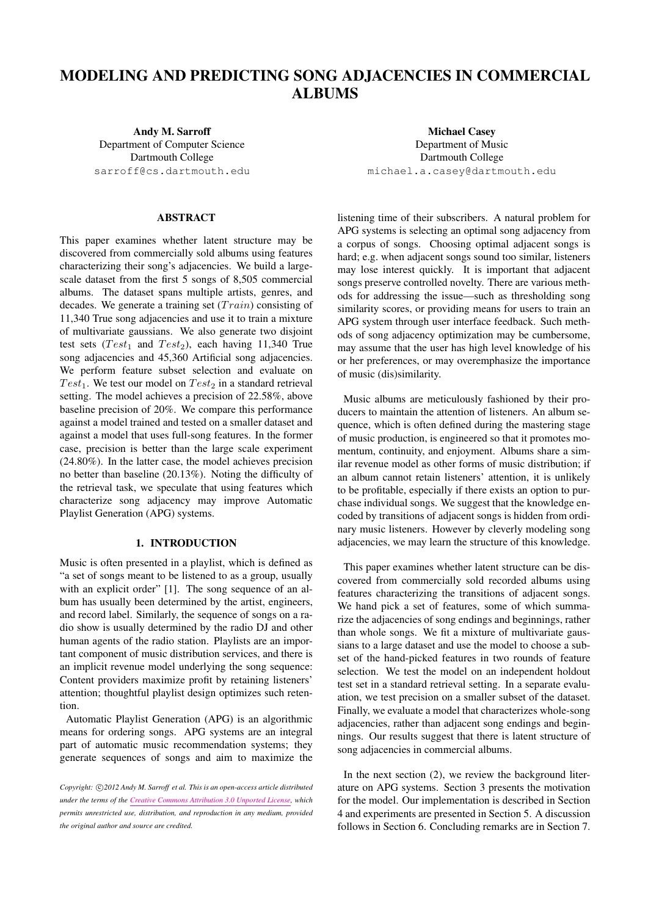# MODELING AND PREDICTING SONG ADJACENCIES IN COMMERCIAL ALBUMS

Andy M. Sarroff Department of Computer Science Dartmouth College [sarroff@cs.dartmouth.edu](mailto:sarroff@cs.dartmouth.edu)

# ABSTRACT

This paper examines whether latent structure may be discovered from commercially sold albums using features characterizing their song's adjacencies. We build a largescale dataset from the first 5 songs of 8,505 commercial albums. The dataset spans multiple artists, genres, and decades. We generate a training set  $(Train)$  consisting of 11,340 True song adjacencies and use it to train a mixture of multivariate gaussians. We also generate two disjoint test sets (Test<sub>1</sub> and Test<sub>2</sub>), each having 11,340 True song adjacencies and 45,360 Artificial song adjacencies. We perform feature subset selection and evaluate on Test<sub>1</sub>. We test our model on  $Test_2$  in a standard retrieval setting. The model achieves a precision of 22.58%, above baseline precision of 20%. We compare this performance against a model trained and tested on a smaller dataset and against a model that uses full-song features. In the former case, precision is better than the large scale experiment (24.80%). In the latter case, the model achieves precision no better than baseline (20.13%). Noting the difficulty of the retrieval task, we speculate that using features which characterize song adjacency may improve Automatic Playlist Generation (APG) systems.

# 1. INTRODUCTION

Music is often presented in a playlist, which is defined as "a set of songs meant to be listened to as a group, usually with an explicit order" [\[1\]](#page-6-0). The song sequence of an album has usually been determined by the artist, engineers, and record label. Similarly, the sequence of songs on a radio show is usually determined by the radio DJ and other human agents of the radio station. Playlists are an important component of music distribution services, and there is an implicit revenue model underlying the song sequence: Content providers maximize profit by retaining listeners' attention; thoughtful playlist design optimizes such retention.

Automatic Playlist Generation (APG) is an algorithmic means for ordering songs. APG systems are an integral part of automatic music recommendation systems; they generate sequences of songs and aim to maximize the

Michael Casey Department of Music Dartmouth College [michael.a.casey@dartmouth.edu](mailto:michael.a.casey@dartmouth.edu)

listening time of their subscribers. A natural problem for APG systems is selecting an optimal song adjacency from a corpus of songs. Choosing optimal adjacent songs is hard; e.g. when adjacent songs sound too similar, listeners may lose interest quickly. It is important that adjacent songs preserve controlled novelty. There are various methods for addressing the issue—such as thresholding song similarity scores, or providing means for users to train an APG system through user interface feedback. Such methods of song adjacency optimization may be cumbersome, may assume that the user has high level knowledge of his or her preferences, or may overemphasize the importance of music (dis)similarity.

Music albums are meticulously fashioned by their producers to maintain the attention of listeners. An album sequence, which is often defined during the mastering stage of music production, is engineered so that it promotes momentum, continuity, and enjoyment. Albums share a similar revenue model as other forms of music distribution; if an album cannot retain listeners' attention, it is unlikely to be profitable, especially if there exists an option to purchase individual songs. We suggest that the knowledge encoded by transitions of adjacent songs is hidden from ordinary music listeners. However by cleverly modeling song adjacencies, we may learn the structure of this knowledge.

This paper examines whether latent structure can be discovered from commercially sold recorded albums using features characterizing the transitions of adjacent songs. We hand pick a set of features, some of which summarize the adjacencies of song endings and beginnings, rather than whole songs. We fit a mixture of multivariate gaussians to a large dataset and use the model to choose a subset of the hand-picked features in two rounds of feature selection. We test the model on an independent holdout test set in a standard retrieval setting. In a separate evaluation, we test precision on a smaller subset of the dataset. Finally, we evaluate a model that characterizes whole-song adjacencies, rather than adjacent song endings and beginnings. Our results suggest that there is latent structure of song adjacencies in commercial albums.

In the next section  $(2)$ , we review the background literature on APG systems. Section [3](#page-1-1) presents the motivation for the model. Our implementation is described in Section [4](#page-2-0) and experiments are presented in Section [5.](#page-3-0) A discussion follows in Section [6.](#page-5-0) Concluding remarks are in Section [7.](#page-6-1)

Copyright:  $\bigcirc$ 2012 Andy M. Sarroff et al. This is an open-access article distributed *under the terms of the [Creative Commons Attribution 3.0 Unported License,](http://creativecommons.org/licenses/by/3.0/) which permits unrestricted use, distribution, and reproduction in any medium, provided the original author and source are credited.*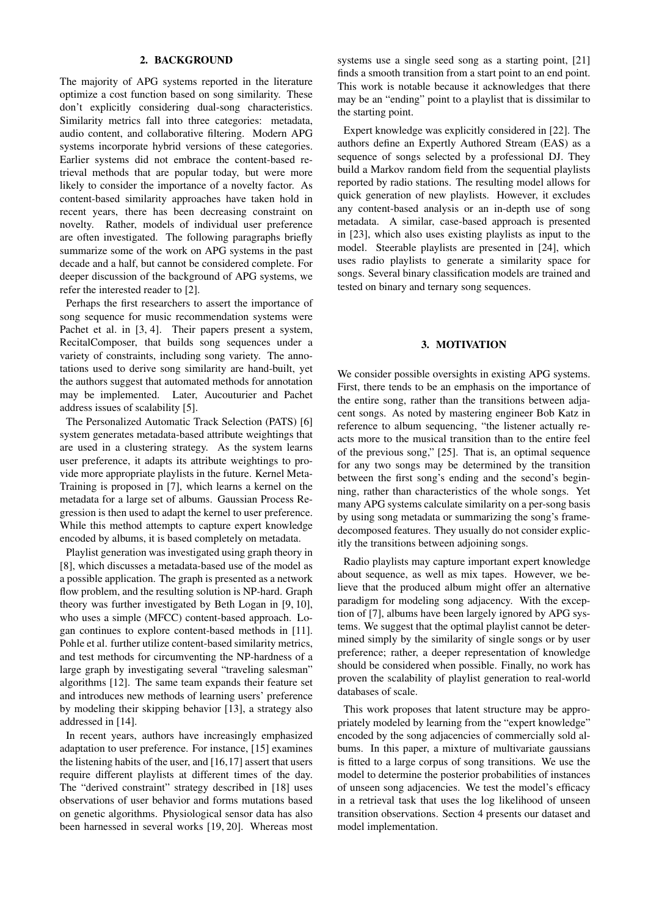#### 2. BACKGROUND

<span id="page-1-0"></span>The majority of APG systems reported in the literature optimize a cost function based on song similarity. These don't explicitly considering dual-song characteristics. Similarity metrics fall into three categories: metadata, audio content, and collaborative filtering. Modern APG systems incorporate hybrid versions of these categories. Earlier systems did not embrace the content-based retrieval methods that are popular today, but were more likely to consider the importance of a novelty factor. As content-based similarity approaches have taken hold in recent years, there has been decreasing constraint on novelty. Rather, models of individual user preference are often investigated. The following paragraphs briefly summarize some of the work on APG systems in the past decade and a half, but cannot be considered complete. For deeper discussion of the background of APG systems, we refer the interested reader to [\[2\]](#page-6-2).

Perhaps the first researchers to assert the importance of song sequence for music recommendation systems were Pachet et al. in [\[3,](#page-6-3) [4\]](#page-6-4). Their papers present a system, RecitalComposer, that builds song sequences under a variety of constraints, including song variety. The annotations used to derive song similarity are hand-built, yet the authors suggest that automated methods for annotation may be implemented. Later, Aucouturier and Pachet address issues of scalability [\[5\]](#page-6-5).

The Personalized Automatic Track Selection (PATS) [\[6\]](#page-6-6) system generates metadata-based attribute weightings that are used in a clustering strategy. As the system learns user preference, it adapts its attribute weightings to provide more appropriate playlists in the future. Kernel Meta-Training is proposed in [\[7\]](#page-6-7), which learns a kernel on the metadata for a large set of albums. Gaussian Process Regression is then used to adapt the kernel to user preference. While this method attempts to capture expert knowledge encoded by albums, it is based completely on metadata.

Playlist generation was investigated using graph theory in [\[8\]](#page-6-8), which discusses a metadata-based use of the model as a possible application. The graph is presented as a network flow problem, and the resulting solution is NP-hard. Graph theory was further investigated by Beth Logan in [\[9,](#page-7-0) [10\]](#page-7-1), who uses a simple (MFCC) content-based approach. Logan continues to explore content-based methods in [\[11\]](#page-7-2). Pohle et al. further utilize content-based similarity metrics, and test methods for circumventing the NP-hardness of a large graph by investigating several "traveling salesman" algorithms [\[12\]](#page-7-3). The same team expands their feature set and introduces new methods of learning users' preference by modeling their skipping behavior [\[13\]](#page-7-4), a strategy also addressed in [\[14\]](#page-7-5).

In recent years, authors have increasingly emphasized adaptation to user preference. For instance, [\[15\]](#page-7-6) examines the listening habits of the user, and [\[16,](#page-7-7)[17\]](#page-7-8) assert that users require different playlists at different times of the day. The "derived constraint" strategy described in [\[18\]](#page-7-9) uses observations of user behavior and forms mutations based on genetic algorithms. Physiological sensor data has also been harnessed in several works [\[19,](#page-7-10) [20\]](#page-7-11). Whereas most

systems use a single seed song as a starting point, [\[21\]](#page-7-12) finds a smooth transition from a start point to an end point. This work is notable because it acknowledges that there may be an "ending" point to a playlist that is dissimilar to the starting point.

Expert knowledge was explicitly considered in [\[22\]](#page-7-13). The authors define an Expertly Authored Stream (EAS) as a sequence of songs selected by a professional DJ. They build a Markov random field from the sequential playlists reported by radio stations. The resulting model allows for quick generation of new playlists. However, it excludes any content-based analysis or an in-depth use of song metadata. A similar, case-based approach is presented in [\[23\]](#page-7-14), which also uses existing playlists as input to the model. Steerable playlists are presented in [\[24\]](#page-7-15), which uses radio playlists to generate a similarity space for songs. Several binary classification models are trained and tested on binary and ternary song sequences.

## 3. MOTIVATION

<span id="page-1-1"></span>We consider possible oversights in existing APG systems. First, there tends to be an emphasis on the importance of the entire song, rather than the transitions between adjacent songs. As noted by mastering engineer Bob Katz in reference to album sequencing, "the listener actually reacts more to the musical transition than to the entire feel of the previous song," [\[25\]](#page-7-16). That is, an optimal sequence for any two songs may be determined by the transition between the first song's ending and the second's beginning, rather than characteristics of the whole songs. Yet many APG systems calculate similarity on a per-song basis by using song metadata or summarizing the song's framedecomposed features. They usually do not consider explicitly the transitions between adjoining songs.

Radio playlists may capture important expert knowledge about sequence, as well as mix tapes. However, we believe that the produced album might offer an alternative paradigm for modeling song adjacency. With the exception of [\[7\]](#page-6-7), albums have been largely ignored by APG systems. We suggest that the optimal playlist cannot be determined simply by the similarity of single songs or by user preference; rather, a deeper representation of knowledge should be considered when possible. Finally, no work has proven the scalability of playlist generation to real-world databases of scale.

This work proposes that latent structure may be appropriately modeled by learning from the "expert knowledge" encoded by the song adjacencies of commercially sold albums. In this paper, a mixture of multivariate gaussians is fitted to a large corpus of song transitions. We use the model to determine the posterior probabilities of instances of unseen song adjacencies. We test the model's efficacy in a retrieval task that uses the log likelihood of unseen transition observations. Section [4](#page-2-0) presents our dataset and model implementation.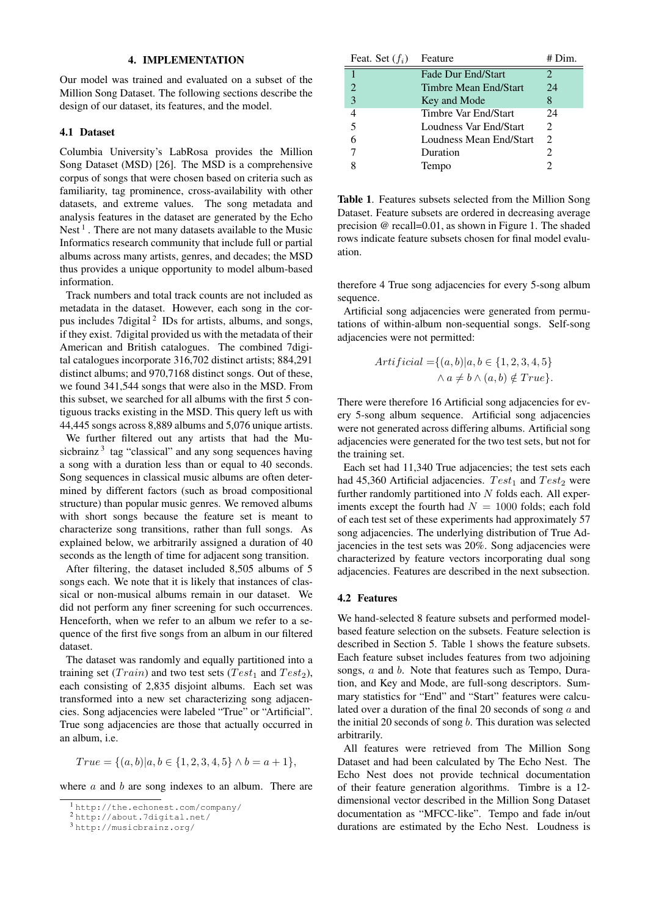#### 4. IMPLEMENTATION

<span id="page-2-0"></span>Our model was trained and evaluated on a subset of the Million Song Dataset. The following sections describe the design of our dataset, its features, and the model.

## 4.1 Dataset

Columbia University's LabRosa provides the Million Song Dataset (MSD) [\[26\]](#page-7-17). The MSD is a comprehensive corpus of songs that were chosen based on criteria such as familiarity, tag prominence, cross-availability with other datasets, and extreme values. The song metadata and analysis features in the dataset are generated by the Echo Nest<sup>[1](#page-2-1)</sup>. There are not many datasets available to the Music Informatics research community that include full or partial albums across many artists, genres, and decades; the MSD thus provides a unique opportunity to model album-based information.

Track numbers and total track counts are not included as metadata in the dataset. However, each song in the cor-pus includes 7digital<sup>[2](#page-2-2)</sup> IDs for artists, albums, and songs, if they exist. 7digital provided us with the metadata of their American and British catalogues. The combined 7digital catalogues incorporate 316,702 distinct artists; 884,291 distinct albums; and 970,7168 distinct songs. Out of these, we found 341,544 songs that were also in the MSD. From this subset, we searched for all albums with the first 5 contiguous tracks existing in the MSD. This query left us with 44,445 songs across 8,889 albums and 5,076 unique artists.

We further filtered out any artists that had the Mu-sicbrainz<sup>[3](#page-2-3)</sup> tag "classical" and any song sequences having a song with a duration less than or equal to 40 seconds. Song sequences in classical music albums are often determined by different factors (such as broad compositional structure) than popular music genres. We removed albums with short songs because the feature set is meant to characterize song transitions, rather than full songs. As explained below, we arbitrarily assigned a duration of 40 seconds as the length of time for adjacent song transition.

After filtering, the dataset included 8,505 albums of 5 songs each. We note that it is likely that instances of classical or non-musical albums remain in our dataset. We did not perform any finer screening for such occurrences. Henceforth, when we refer to an album we refer to a sequence of the first five songs from an album in our filtered dataset.

The dataset was randomly and equally partitioned into a training set (*Train*) and two test sets (*Test*<sub>1</sub> and *Test*<sub>2</sub>), each consisting of 2,835 disjoint albums. Each set was transformed into a new set characterizing song adjacencies. Song adjacencies were labeled "True" or "Artificial". True song adjacencies are those that actually occurred in an album, i.e.

$$
True = \{(a, b) | a, b \in \{1, 2, 3, 4, 5\} \land b = a + 1\},
$$

where  $a$  and  $b$  are song indexes to an album. There are

<span id="page-2-4"></span>

| Feat. Set $(f_i)$     | Feature                   | # Dim.                      |
|-----------------------|---------------------------|-----------------------------|
|                       | <b>Fade Dur End/Start</b> | 2                           |
| $\mathcal{D}_{\cdot}$ | Timbre Mean End/Start     | 24                          |
| 3                     | Key and Mode              | 8                           |
| 4                     | Timbre Var End/Start      | 24                          |
| 5                     | Loudness Var End/Start    | $\mathfrak{D}$              |
|                       | Loudness Mean End/Start   | $\mathcal{D}_{\mathcal{L}}$ |
|                       | Duration                  | 2                           |
|                       | Tempo                     | 2                           |

Table 1. Features subsets selected from the Million Song Dataset. Feature subsets are ordered in decreasing average precision @ recall=0.01, as shown in Figure [1.](#page-4-0) The shaded rows indicate feature subsets chosen for final model evaluation.

therefore 4 True song adjacencies for every 5-song album sequence.

Artificial song adjacencies were generated from permutations of within-album non-sequential songs. Self-song adjacencies were not permitted:

Artificial =
$$
\{(a,b)|a,b \in \{1,2,3,4,5\}
$$
  
 $\land a \neq b \land (a,b) \notin True\}$ .

There were therefore 16 Artificial song adjacencies for every 5-song album sequence. Artificial song adjacencies were not generated across differing albums. Artificial song adjacencies were generated for the two test sets, but not for the training set.

Each set had 11,340 True adjacencies; the test sets each had 45,360 Artificial adjacencies.  $Test_1$  and  $Test_2$  were further randomly partitioned into  $N$  folds each. All experiments except the fourth had  $N = 1000$  folds; each fold of each test set of these experiments had approximately 57 song adjacencies. The underlying distribution of True Adjacencies in the test sets was 20%. Song adjacencies were characterized by feature vectors incorporating dual song adjacencies. Features are described in the next subsection.

## 4.2 Features

We hand-selected 8 feature subsets and performed modelbased feature selection on the subsets. Feature selection is described in Section [5.](#page-3-0) Table [1](#page-2-4) shows the feature subsets. Each feature subset includes features from two adjoining songs, a and b. Note that features such as Tempo, Duration, and Key and Mode, are full-song descriptors. Summary statistics for "End" and "Start" features were calculated over a duration of the final 20 seconds of song  $a$  and the initial 20 seconds of song b. This duration was selected arbitrarily.

All features were retrieved from The Million Song Dataset and had been calculated by The Echo Nest. The Echo Nest does not provide technical documentation of their feature generation algorithms. Timbre is a 12 dimensional vector described in the Million Song Dataset documentation as "MFCC-like". Tempo and fade in/out durations are estimated by the Echo Nest. Loudness is

<span id="page-2-1"></span><sup>1</sup> <http://the.echonest.com/company/>

<span id="page-2-2"></span><sup>2</sup> <http://about.7digital.net/>

<span id="page-2-3"></span><sup>3</sup> <http://musicbrainz.org/>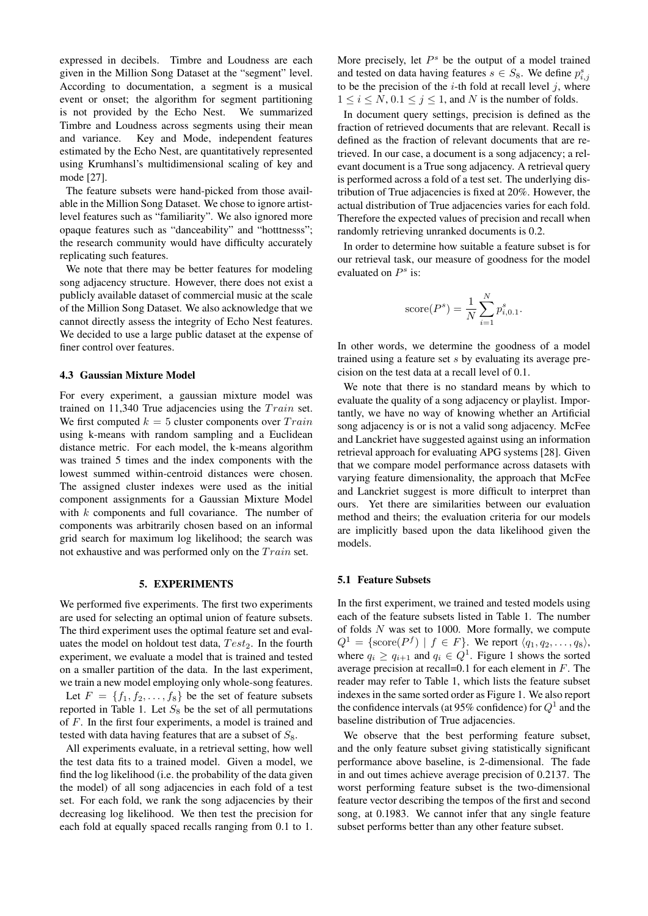expressed in decibels. Timbre and Loudness are each given in the Million Song Dataset at the "segment" level. According to documentation, a segment is a musical event or onset; the algorithm for segment partitioning is not provided by the Echo Nest. We summarized Timbre and Loudness across segments using their mean and variance. Key and Mode, independent features estimated by the Echo Nest, are quantitatively represented using Krumhansl's multidimensional scaling of key and mode [\[27\]](#page-7-18).

The feature subsets were hand-picked from those available in the Million Song Dataset. We chose to ignore artistlevel features such as "familiarity". We also ignored more opaque features such as "danceability" and "hotttnesss"; the research community would have difficulty accurately replicating such features.

We note that there may be better features for modeling song adjacency structure. However, there does not exist a publicly available dataset of commercial music at the scale of the Million Song Dataset. We also acknowledge that we cannot directly assess the integrity of Echo Nest features. We decided to use a large public dataset at the expense of finer control over features.

#### 4.3 Gaussian Mixture Model

For every experiment, a gaussian mixture model was trained on 11,340 True adjacencies using the  $Train$  set. We first computed  $k = 5$  cluster components over  $Train$ using k-means with random sampling and a Euclidean distance metric. For each model, the k-means algorithm was trained 5 times and the index components with the lowest summed within-centroid distances were chosen. The assigned cluster indexes were used as the initial component assignments for a Gaussian Mixture Model with  $k$  components and full covariance. The number of components was arbitrarily chosen based on an informal grid search for maximum log likelihood; the search was not exhaustive and was performed only on the  $Train$  set.

### 5. EXPERIMENTS

<span id="page-3-0"></span>We performed five experiments. The first two experiments are used for selecting an optimal union of feature subsets. The third experiment uses the optimal feature set and evaluates the model on holdout test data,  $Test_2$ . In the fourth experiment, we evaluate a model that is trained and tested on a smaller partition of the data. In the last experiment, we train a new model employing only whole-song features. Let  $F = \{f_1, f_2, \ldots, f_8\}$  be the set of feature subsets reported in Table [1.](#page-2-4) Let  $S_8$  be the set of all permutations of F. In the first four experiments, a model is trained and

All experiments evaluate, in a retrieval setting, how well the test data fits to a trained model. Given a model, we find the log likelihood (i.e. the probability of the data given the model) of all song adjacencies in each fold of a test set. For each fold, we rank the song adjacencies by their decreasing log likelihood. We then test the precision for each fold at equally spaced recalls ranging from 0.1 to 1.

tested with data having features that are a subset of  $S_8$ .

More precisely, let  $P^s$  be the output of a model trained and tested on data having features  $s \in S_8$ . We define  $p_{i,j}^s$ to be the precision of the  $i$ -th fold at recall level  $j$ , where  $1 \le i \le N$ ,  $0.1 \le j \le 1$ , and N is the number of folds.

In document query settings, precision is defined as the fraction of retrieved documents that are relevant. Recall is defined as the fraction of relevant documents that are retrieved. In our case, a document is a song adjacency; a relevant document is a True song adjacency. A retrieval query is performed across a fold of a test set. The underlying distribution of True adjacencies is fixed at 20%. However, the actual distribution of True adjacencies varies for each fold. Therefore the expected values of precision and recall when randomly retrieving unranked documents is 0.2.

In order to determine how suitable a feature subset is for our retrieval task, our measure of goodness for the model evaluated on  $P^s$  is:

score
$$
(P^s)
$$
 =  $\frac{1}{N} \sum_{i=1}^{N} p_{i,0.1}^s$ .

In other words, we determine the goodness of a model trained using a feature set s by evaluating its average precision on the test data at a recall level of 0.1.

We note that there is no standard means by which to evaluate the quality of a song adjacency or playlist. Importantly, we have no way of knowing whether an Artificial song adjacency is or is not a valid song adjacency. McFee and Lanckriet have suggested against using an information retrieval approach for evaluating APG systems [\[28\]](#page-7-19). Given that we compare model performance across datasets with varying feature dimensionality, the approach that McFee and Lanckriet suggest is more difficult to interpret than ours. Yet there are similarities between our evaluation method and theirs; the evaluation criteria for our models are implicitly based upon the data likelihood given the models.

## 5.1 Feature Subsets

In the first experiment, we trained and tested models using each of the feature subsets listed in Table [1.](#page-2-4) The number of folds  $N$  was set to 1000. More formally, we compute  $Q^1 = \{\text{score}(P^f) \mid f \in F\}$ . We report  $\langle q_1, q_2, \dots, q_8 \rangle$ , where  $q_i \ge q_{i+1}$  $q_i \ge q_{i+1}$  $q_i \ge q_{i+1}$  and  $q_i \in Q^1$ . Figure 1 shows the sorted average precision at recall=0.1 for each element in F. The reader may refer to Table [1,](#page-2-4) which lists the feature subset indexes in the same sorted order as Figure [1.](#page-4-0) We also report the confidence intervals (at 95% confidence) for  $Q^1$  and the baseline distribution of True adjacencies.

We observe that the best performing feature subset, and the only feature subset giving statistically significant performance above baseline, is 2-dimensional. The fade in and out times achieve average precision of 0.2137. The worst performing feature subset is the two-dimensional feature vector describing the tempos of the first and second song, at 0.1983. We cannot infer that any single feature subset performs better than any other feature subset.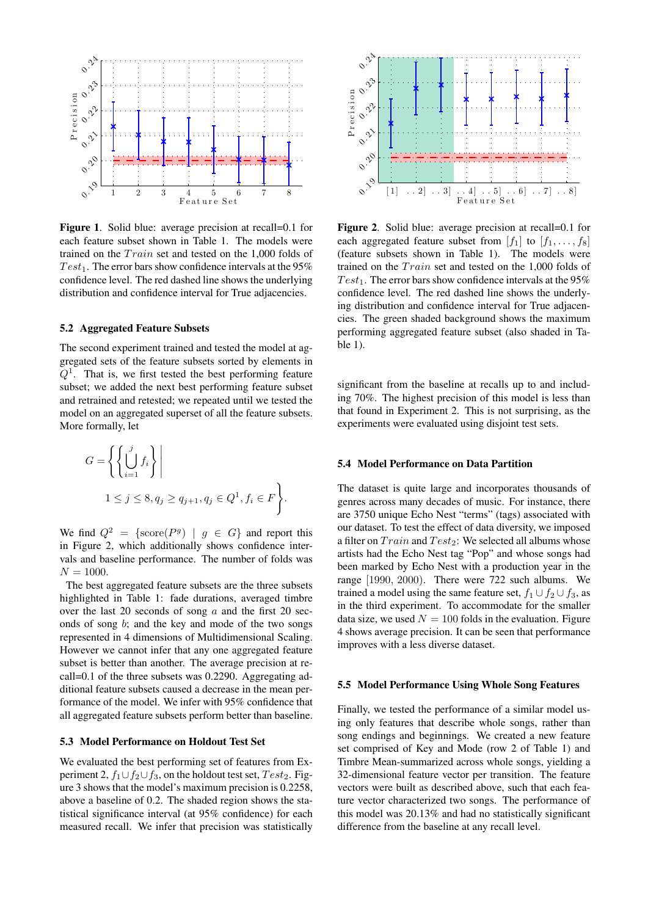<span id="page-4-0"></span>

Figure 1. Solid blue: average precision at recall=0.1 for each feature subset shown in Table [1.](#page-2-4) The models were trained on the  $Train$  set and tested on the 1,000 folds of  $Test_1$ . The error bars show confidence intervals at the 95% confidence level. The red dashed line shows the underlying distribution and confidence interval for True adjacencies.

# 5.2 Aggregated Feature Subsets

The second experiment trained and tested the model at aggregated sets of the feature subsets sorted by elements in  $Q<sup>1</sup>$ . That is, we first tested the best performing feature subset; we added the next best performing feature subset and retrained and retested; we repeated until we tested the model on an aggregated superset of all the feature subsets. More formally, let

$$
G = \left\{ \left\{ \bigcup_{i=1}^{j} f_i \right\} \middle| \right\}
$$
  

$$
1 \leq j \leq 8, q_j \geq q_{j+1}, q_j \in Q^1, f_i \in F \left\}.
$$

We find  $Q^2 = \{\text{score}(P^g) \mid g \in G\}$  and report this in Figure [2,](#page-4-1) which additionally shows confidence intervals and baseline performance. The number of folds was  $N = 1000.$ 

The best aggregated feature subsets are the three subsets highlighted in Table [1:](#page-2-4) fade durations, averaged timbre over the last 20 seconds of song  $a$  and the first 20 seconds of song  $b$ ; and the key and mode of the two songs represented in 4 dimensions of Multidimensional Scaling. However we cannot infer that any one aggregated feature subset is better than another. The average precision at recall=0.1 of the three subsets was 0.2290. Aggregating additional feature subsets caused a decrease in the mean performance of the model. We infer with 95% confidence that all aggregated feature subsets perform better than baseline.

#### 5.3 Model Performance on Holdout Test Set

We evaluated the best performing set of features from Experiment 2,  $f_1 \cup f_2 \cup f_3$ , on the holdout test set,  $Test_2$ . Figure [3](#page-5-1) shows that the model's maximum precision is 0.2258, above a baseline of 0.2. The shaded region shows the statistical significance interval (at 95% confidence) for each measured recall. We infer that precision was statistically

<span id="page-4-1"></span>

Figure 2. Solid blue: average precision at recall=0.1 for each aggregated feature subset from  $[f_1]$  to  $[f_1, \ldots, f_8]$ (feature subsets shown in Table [1\)](#page-2-4). The models were trained on the  $Train$  set and tested on the 1,000 folds of  $Test_1$ . The error bars show confidence intervals at the 95% confidence level. The red dashed line shows the underlying distribution and confidence interval for True adjacencies. The green shaded background shows the maximum performing aggregated feature subset (also shaded in Table [1\)](#page-2-4).

significant from the baseline at recalls up to and including 70%. The highest precision of this model is less than that found in Experiment 2. This is not surprising, as the experiments were evaluated using disjoint test sets.

## 5.4 Model Performance on Data Partition

The dataset is quite large and incorporates thousands of genres across many decades of music. For instance, there are 3750 unique Echo Nest "terms" (tags) associated with our dataset. To test the effect of data diversity, we imposed a filter on  $Train$  and  $Test_2$ : We selected all albums whose artists had the Echo Nest tag "Pop" and whose songs had been marked by Echo Nest with a production year in the range [1990, 2000). There were 722 such albums. We trained a model using the same feature set,  $f_1 \cup f_2 \cup f_3$ , as in the third experiment. To accommodate for the smaller data size, we used  $N = 100$  folds in the evaluation. Figure [4](#page-6-9) shows average precision. It can be seen that performance improves with a less diverse dataset.

#### 5.5 Model Performance Using Whole Song Features

Finally, we tested the performance of a similar model using only features that describe whole songs, rather than song endings and beginnings. We created a new feature set comprised of Key and Mode (row 2 of Table [1\)](#page-2-4) and Timbre Mean-summarized across whole songs, yielding a 32-dimensional feature vector per transition. The feature vectors were built as described above, such that each feature vector characterized two songs. The performance of this model was 20.13% and had no statistically significant difference from the baseline at any recall level.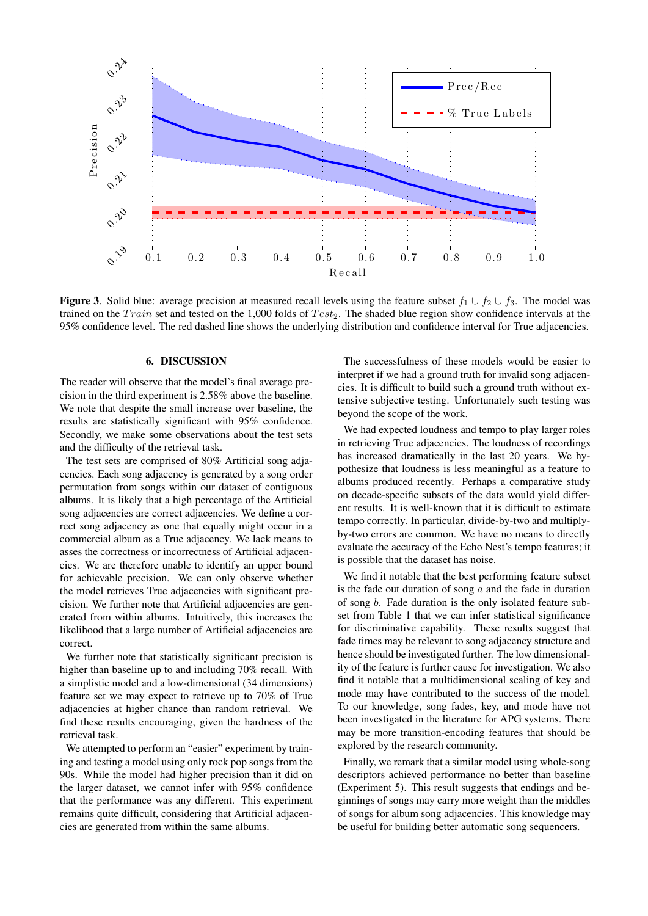

<span id="page-5-1"></span>**Figure 3.** Solid blue: average precision at measured recall levels using the feature subset  $f_1 \cup f_2 \cup f_3$ . The model was trained on the  $Train$  set and tested on the 1,000 folds of  $Test_2$ . The shaded blue region show confidence intervals at the 95% confidence level. The red dashed line shows the underlying distribution and confidence interval for True adjacencies.

# 6. DISCUSSION

<span id="page-5-0"></span>The reader will observe that the model's final average precision in the third experiment is 2.58% above the baseline. We note that despite the small increase over baseline, the results are statistically significant with 95% confidence. Secondly, we make some observations about the test sets and the difficulty of the retrieval task.

The test sets are comprised of 80% Artificial song adjacencies. Each song adjacency is generated by a song order permutation from songs within our dataset of contiguous albums. It is likely that a high percentage of the Artificial song adjacencies are correct adjacencies. We define a correct song adjacency as one that equally might occur in a commercial album as a True adjacency. We lack means to asses the correctness or incorrectness of Artificial adjacencies. We are therefore unable to identify an upper bound for achievable precision. We can only observe whether the model retrieves True adjacencies with significant precision. We further note that Artificial adjacencies are generated from within albums. Intuitively, this increases the likelihood that a large number of Artificial adjacencies are correct.

We further note that statistically significant precision is higher than baseline up to and including 70% recall. With a simplistic model and a low-dimensional (34 dimensions) feature set we may expect to retrieve up to 70% of True adjacencies at higher chance than random retrieval. We find these results encouraging, given the hardness of the retrieval task.

We attempted to perform an "easier" experiment by training and testing a model using only rock pop songs from the 90s. While the model had higher precision than it did on the larger dataset, we cannot infer with 95% confidence that the performance was any different. This experiment remains quite difficult, considering that Artificial adjacencies are generated from within the same albums.

The successfulness of these models would be easier to interpret if we had a ground truth for invalid song adjacencies. It is difficult to build such a ground truth without extensive subjective testing. Unfortunately such testing was beyond the scope of the work.

We had expected loudness and tempo to play larger roles in retrieving True adjacencies. The loudness of recordings has increased dramatically in the last 20 years. We hypothesize that loudness is less meaningful as a feature to albums produced recently. Perhaps a comparative study on decade-specific subsets of the data would yield different results. It is well-known that it is difficult to estimate tempo correctly. In particular, divide-by-two and multiplyby-two errors are common. We have no means to directly evaluate the accuracy of the Echo Nest's tempo features; it is possible that the dataset has noise.

We find it notable that the best performing feature subset is the fade out duration of song  $a$  and the fade in duration of song b. Fade duration is the only isolated feature subset from Table [1](#page-2-4) that we can infer statistical significance for discriminative capability. These results suggest that fade times may be relevant to song adjacency structure and hence should be investigated further. The low dimensionality of the feature is further cause for investigation. We also find it notable that a multidimensional scaling of key and mode may have contributed to the success of the model. To our knowledge, song fades, key, and mode have not been investigated in the literature for APG systems. There may be more transition-encoding features that should be explored by the research community.

Finally, we remark that a similar model using whole-song descriptors achieved performance no better than baseline (Experiment 5). This result suggests that endings and beginnings of songs may carry more weight than the middles of songs for album song adjacencies. This knowledge may be useful for building better automatic song sequencers.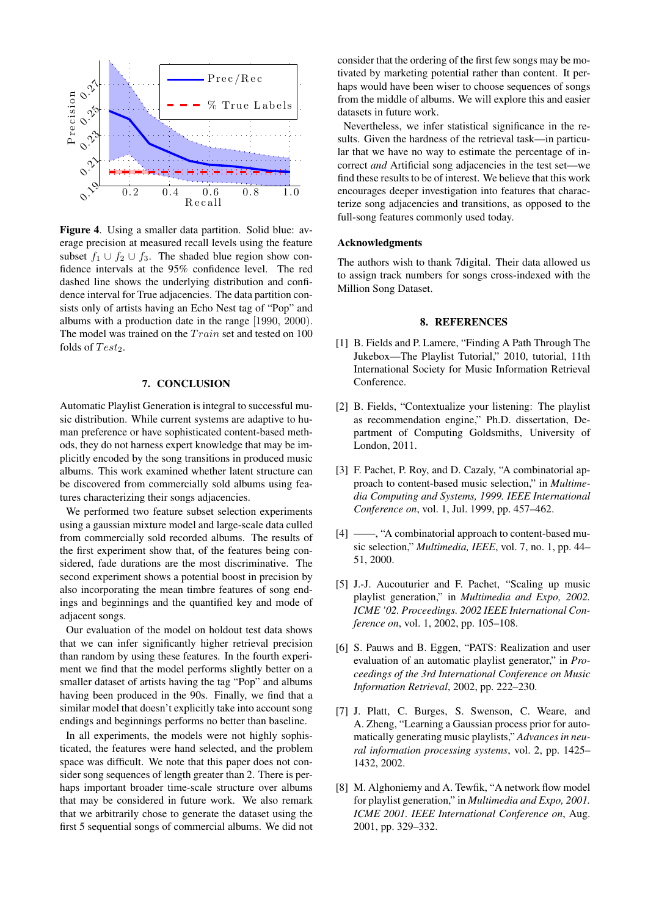<span id="page-6-9"></span>

Figure 4. Using a smaller data partition. Solid blue: average precision at measured recall levels using the feature subset  $f_1 \cup f_2 \cup f_3$ . The shaded blue region show confidence intervals at the 95% confidence level. The red dashed line shows the underlying distribution and confidence interval for True adjacencies. The data partition consists only of artists having an Echo Nest tag of "Pop" and albums with a production date in the range [1990, 2000). The model was trained on the  $Train$  set and tested on 100 folds of  $Test_2$ .

### 7. CONCLUSION

<span id="page-6-1"></span>Automatic Playlist Generation is integral to successful music distribution. While current systems are adaptive to human preference or have sophisticated content-based methods, they do not harness expert knowledge that may be implicitly encoded by the song transitions in produced music albums. This work examined whether latent structure can be discovered from commercially sold albums using features characterizing their songs adjacencies.

We performed two feature subset selection experiments using a gaussian mixture model and large-scale data culled from commercially sold recorded albums. The results of the first experiment show that, of the features being considered, fade durations are the most discriminative. The second experiment shows a potential boost in precision by also incorporating the mean timbre features of song endings and beginnings and the quantified key and mode of adjacent songs.

Our evaluation of the model on holdout test data shows that we can infer significantly higher retrieval precision than random by using these features. In the fourth experiment we find that the model performs slightly better on a smaller dataset of artists having the tag "Pop" and albums having been produced in the 90s. Finally, we find that a similar model that doesn't explicitly take into account song endings and beginnings performs no better than baseline.

In all experiments, the models were not highly sophisticated, the features were hand selected, and the problem space was difficult. We note that this paper does not consider song sequences of length greater than 2. There is perhaps important broader time-scale structure over albums that may be considered in future work. We also remark that we arbitrarily chose to generate the dataset using the first 5 sequential songs of commercial albums. We did not consider that the ordering of the first few songs may be motivated by marketing potential rather than content. It perhaps would have been wiser to choose sequences of songs from the middle of albums. We will explore this and easier datasets in future work.

Nevertheless, we infer statistical significance in the results. Given the hardness of the retrieval task—in particular that we have no way to estimate the percentage of incorrect *and* Artificial song adjacencies in the test set—we find these results to be of interest. We believe that this work encourages deeper investigation into features that characterize song adjacencies and transitions, as opposed to the full-song features commonly used today.

## Acknowledgments

The authors wish to thank 7digital. Their data allowed us to assign track numbers for songs cross-indexed with the Million Song Dataset.

#### 8. REFERENCES

- <span id="page-6-0"></span>[1] B. Fields and P. Lamere, "Finding A Path Through The Jukebox—The Playlist Tutorial," 2010, tutorial, 11th International Society for Music Information Retrieval Conference.
- <span id="page-6-2"></span>[2] B. Fields, "Contextualize your listening: The playlist as recommendation engine," Ph.D. dissertation, Department of Computing Goldsmiths, University of London, 2011.
- <span id="page-6-3"></span>[3] F. Pachet, P. Roy, and D. Cazaly, "A combinatorial approach to content-based music selection," in *Multimedia Computing and Systems, 1999. IEEE International Conference on*, vol. 1, Jul. 1999, pp. 457–462.
- <span id="page-6-4"></span>[4] ——, "A combinatorial approach to content-based music selection," *Multimedia, IEEE*, vol. 7, no. 1, pp. 44– 51, 2000.
- <span id="page-6-5"></span>[5] J.-J. Aucouturier and F. Pachet, "Scaling up music playlist generation," in *Multimedia and Expo, 2002. ICME '02. Proceedings. 2002 IEEE International Conference on*, vol. 1, 2002, pp. 105–108.
- <span id="page-6-6"></span>[6] S. Pauws and B. Eggen, "PATS: Realization and user evaluation of an automatic playlist generator," in *Proceedings of the 3rd International Conference on Music Information Retrieval*, 2002, pp. 222–230.
- <span id="page-6-7"></span>[7] J. Platt, C. Burges, S. Swenson, C. Weare, and A. Zheng, "Learning a Gaussian process prior for automatically generating music playlists," *Advances in neural information processing systems*, vol. 2, pp. 1425– 1432, 2002.
- <span id="page-6-8"></span>[8] M. Alghoniemy and A. Tewfik, "A network flow model for playlist generation," in *Multimedia and Expo, 2001. ICME 2001. IEEE International Conference on*, Aug. 2001, pp. 329–332.